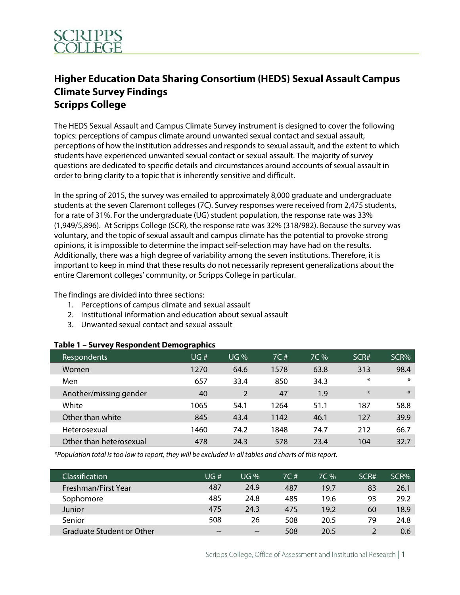

## **Higher Education Data Sharing Consortium (HEDS) Sexual Assault Campus Climate Survey Findings Scripps College**

The HEDS Sexual Assault and Campus Climate Survey instrument is designed to cover the following topics: perceptions of campus climate around unwanted sexual contact and sexual assault, perceptions of how the institution addresses and responds to sexual assault, and the extent to which students have experienced unwanted sexual contact or sexual assault. The majority of survey questions are dedicated to specific details and circumstances around accounts of sexual assault in order to bring clarity to a topic that is inherently sensitive and difficult.

In the spring of 2015, the survey was emailed to approximately 8,000 graduate and undergraduate students at the seven Claremont colleges (7C). Survey responses were received from 2,475 students, for a rate of 31%. For the undergraduate (UG) student population, the response rate was 33% (1,949/5,896). At Scripps College (SCR), the response rate was 32% (318/982). Because the survey was voluntary, and the topic of sexual assault and campus climate has the potential to provoke strong opinions, it is impossible to determine the impact self-selection may have had on the results. Additionally, there was a high degree of variability among the seven institutions. Therefore, it is important to keep in mind that these results do not necessarily represent generalizations about the entire Claremont colleges' community, or Scripps College in particular.

The findings are divided into three sections:

- 1. Perceptions of campus climate and sexual assault
- 2. Institutional information and education about sexual assault
- 3. Unwanted sexual contact and sexual assault

| Respondents             | UG#  | <b>UG</b> % | 7C # | 7C % | SCR#   | SCR%   |
|-------------------------|------|-------------|------|------|--------|--------|
| Women                   | 1270 | 64.6        | 1578 | 63.8 | 313    | 98.4   |
| Men                     | 657  | 33.4        | 850  | 34.3 | $\ast$ | ∗      |
| Another/missing gender  | 40   | 2           | 47   | 1.9  | $\ast$ | $\ast$ |
| White                   | 1065 | 54.1        | 1264 | 51.1 | 187    | 58.8   |
| Other than white        | 845  | 43.4        | 1142 | 46.1 | 127    | 39.9   |
| Heterosexual            | 1460 | 74.2        | 1848 | 74.7 | 212    | 66.7   |
| Other than heterosexual | 478  | 24.3        | 578  | 23.4 | 104    | 32.7   |

## **Table 1 – Survey Respondent Demographics**

*\*Population total is too low to report, they will be excluded in all tables and charts of this report.*

| <b>Classification</b>     | UG#   | UG%               | 7C # | $7C\%$ | SCR# | SCR% |
|---------------------------|-------|-------------------|------|--------|------|------|
| Freshman/First Year       | 487   | 24.9              | 487  | 19.7   | 83   | 26.1 |
| Sophomore                 | 485   | 24.8              | 485  | 19.6   | 93   | 29.2 |
| Junior                    | 475   | 24.3              | 475  | 19.2   | 60   | 18.9 |
| Senior                    | 508   | 26                | 508  | 20.5   | 79   | 24.8 |
| Graduate Student or Other | $- -$ | $\hspace{0.05cm}$ | 508  | 20.5   |      | 0.6  |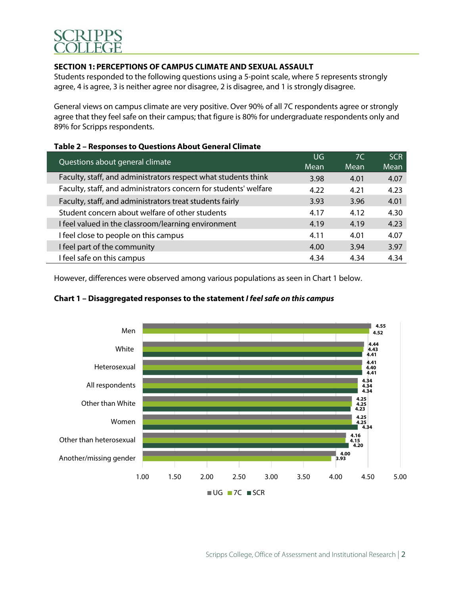

## **SECTION 1: PERCEPTIONS OF CAMPUS CLIMATE AND SEXUAL ASSAULT**

Students responded to the following questions using a 5-point scale, where 5 represents strongly agree, 4 is agree, 3 is neither agree nor disagree, 2 is disagree, and 1 is strongly disagree.

General views on campus climate are very positive. Over 90% of all 7C respondents agree or strongly agree that they feel safe on their campus; that figure is 80% for undergraduate respondents only and 89% for Scripps respondents.

#### **Table 2 – Responses to Questions About General Climate**

| Questions about general climate                                  | UG   | 7 <sup>C</sup> | SCR  |
|------------------------------------------------------------------|------|----------------|------|
|                                                                  | Mean | Mean           | Mean |
| Faculty, staff, and administrators respect what students think   | 3.98 | 4.01           | 4.07 |
| Faculty, staff, and administrators concern for students' welfare | 4.22 | 4.21           | 4.23 |
| Faculty, staff, and administrators treat students fairly         | 3.93 | 3.96           | 4.01 |
| Student concern about welfare of other students                  | 4.17 | 4.12           | 4.30 |
| I feel valued in the classroom/learning environment              | 4.19 | 4.19           | 4.23 |
| I feel close to people on this campus                            | 4.11 | 4.01           | 4.07 |
| I feel part of the community                                     | 4.00 | 3.94           | 3.97 |
| I feel safe on this campus                                       | 4.34 | 4.34           | 4.34 |

However, differences were observed among various populations as seen in Chart 1 below.

### **Chart 1 – Disaggregated responses to the statement** *I feel safe on this campus*

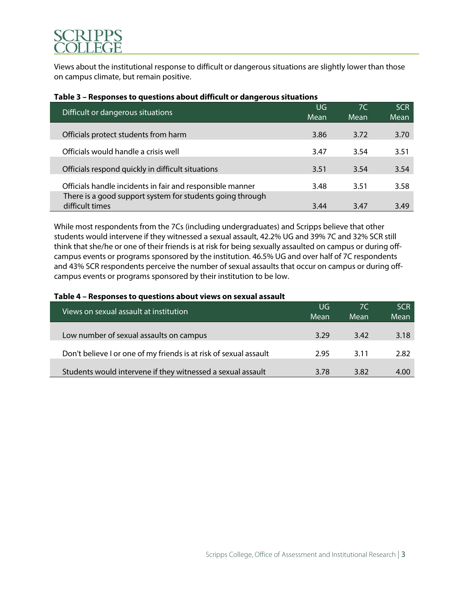Views about the institutional response to difficult or dangerous situations are slightly lower than those on campus climate, but remain positive.

| <u> Table 3 – Responses to questions about un ituit or uangerous situations</u> |             |            |                    |  |  |  |
|---------------------------------------------------------------------------------|-------------|------------|--------------------|--|--|--|
| Difficult or dangerous situations                                               | UG.<br>Mean | 7C<br>Mean | <b>SCR</b><br>Mean |  |  |  |
|                                                                                 |             |            |                    |  |  |  |
| Officials protect students from harm                                            | 3.86        | 3.72       | 3.70               |  |  |  |
| Officials would handle a crisis well                                            | 3.47        | 3.54       | 3.51               |  |  |  |
|                                                                                 |             |            |                    |  |  |  |
| Officials respond quickly in difficult situations                               | 3.51        | 3.54       | 3.54               |  |  |  |
|                                                                                 |             |            |                    |  |  |  |
| Officials handle incidents in fair and responsible manner                       | 3.48        | 3.51       | 3.58               |  |  |  |
| There is a good support system for students going through                       |             |            |                    |  |  |  |
| difficult times                                                                 | 3.44        | 3.47       | 3.49               |  |  |  |

## **Table 3 – Responses to questions about difficult or dangerous situations**

While most respondents from the 7Cs (including undergraduates) and Scripps believe that other students would intervene if they witnessed a sexual assault, 42.2% UG and 39% 7C and 32% SCR still think that she/he or one of their friends is at risk for being sexually assaulted on campus or during offcampus events or programs sponsored by the institution. 46.5% UG and over half of 7C respondents and 43% SCR respondents perceive the number of sexual assaults that occur on campus or during offcampus events or programs sponsored by their institution to be low.

#### **Table 4 – Responses to questions about views on sexual assault**

| Views on sexual assault at institution                            | UG   | 7C   | SCR  |
|-------------------------------------------------------------------|------|------|------|
|                                                                   | Mean | Mean | Mean |
|                                                                   |      |      |      |
| Low number of sexual assaults on campus                           | 3.29 | 3.42 | 3.18 |
|                                                                   |      |      |      |
| Don't believe I or one of my friends is at risk of sexual assault | 2.95 | 3.11 | 2.82 |
|                                                                   |      |      |      |
| Students would intervene if they witnessed a sexual assault       | 3.78 | 3.82 | 4.00 |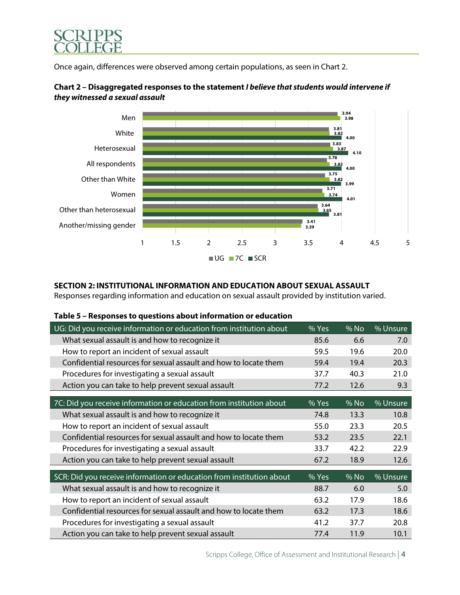

Once again, differences were observed among certain populations, as seen in Chart 2.



## **Chart 2 – Disaggregated responses to the statement** *I believe that students would intervene if they witnessed a sexual assault*

## **SECTION 2: INSTITUTIONAL INFORMATION AND EDUCATION ABOUT SEXUAL ASSAULT**

Responses regarding information and education on sexual assault provided by institution varied.

| UG: Did you receive information or education from institution about  | % Yes | % No | % Unsure |
|----------------------------------------------------------------------|-------|------|----------|
| What sexual assault is and how to recognize it                       | 85.6  | 6.6  | 7.0      |
| How to report an incident of sexual assault                          | 59.5  | 19.6 | 20.0     |
| Confidential resources for sexual assault and how to locate them     | 59.4  | 19.4 | 20.3     |
| Procedures for investigating a sexual assault                        | 37.7  | 40.3 | 21.0     |
| Action you can take to help prevent sexual assault                   | 77.2  | 12.6 | 9.3      |
|                                                                      |       |      |          |
| 7C: Did you receive information or education from institution about  | % Yes | % No | % Unsure |
| What sexual assault is and how to recognize it                       | 74.8  | 13.3 | 10.8     |
| How to report an incident of sexual assault                          | 55.0  | 23.3 | 20.5     |
| Confidential resources for sexual assault and how to locate them     | 53.2  | 23.5 | 22.1     |
| Procedures for investigating a sexual assault                        | 33.7  | 42.2 | 22.9     |
| Action you can take to help prevent sexual assault                   | 67.2  | 18.9 | 12.6     |
|                                                                      |       |      |          |
| SCR: Did you receive information or education from institution about | % Yes | % No | % Unsure |
| What sexual assault is and how to recognize it                       | 88.7  | 6.0  | 5.0      |
| How to report an incident of sexual assault                          | 63.2  | 17.9 | 18.6     |
| Confidential resources for sexual assault and how to locate them     | 63.2  | 17.3 | 18.6     |
| Procedures for investigating a sexual assault                        | 41.2  | 37.7 | 20.8     |
| Action you can take to help prevent sexual assault                   | 77.4  | 11.9 | 10.1     |

## **Table 5 – Responses to questions about information or education**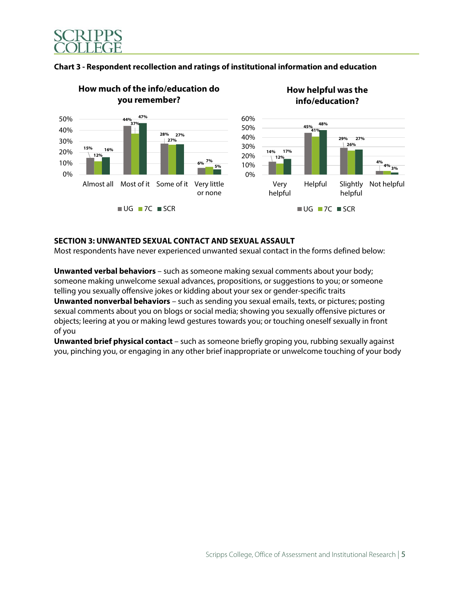



#### **Chart 3 - Respondent recollection and ratings of institutional information and education**

#### **SECTION 3: UNWANTED SEXUAL CONTACT AND SEXUAL ASSAULT**

Most respondents have never experienced unwanted sexual contact in the forms defined below:

**Unwanted verbal behaviors** – such as someone making sexual comments about your body; someone making unwelcome sexual advances, propositions, or suggestions to you; or someone telling you sexually offensive jokes or kidding about your sex or gender-specific traits

**Unwanted nonverbal behaviors** – such as sending you sexual emails, texts, or pictures; posting sexual comments about you on blogs or social media; showing you sexually offensive pictures or objects; leering at you or making lewd gestures towards you; or touching oneself sexually in front of you

**Unwanted brief physical contact** – such as someone briefly groping you, rubbing sexually against you, pinching you, or engaging in any other brief inappropriate or unwelcome touching of your body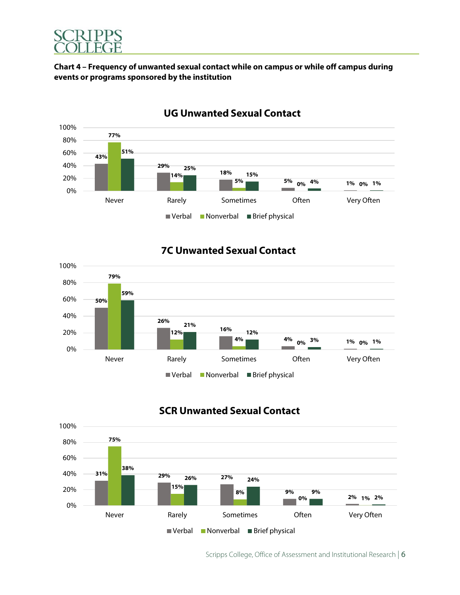

## **Chart 4 – Frequency of unwanted sexual contact while on campus or while off campus during events or programs sponsored by the institution**



## **UG Unwanted Sexual Contact**

## **7C Unwanted Sexual Contact**



## **SCR Unwanted Sexual Contact**

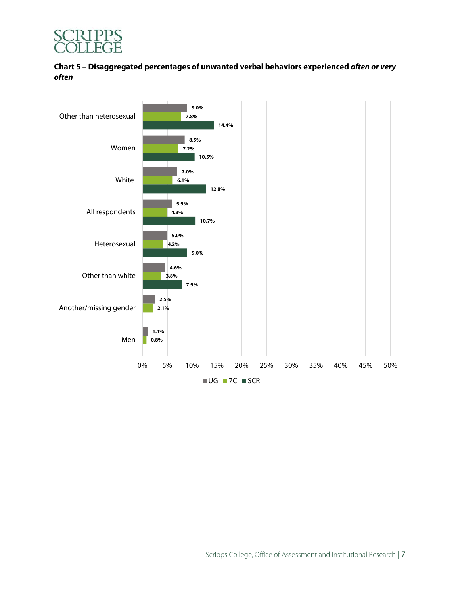

## **Chart 5 – Disaggregated percentages of unwanted verbal behaviors experienced** *often or very often*

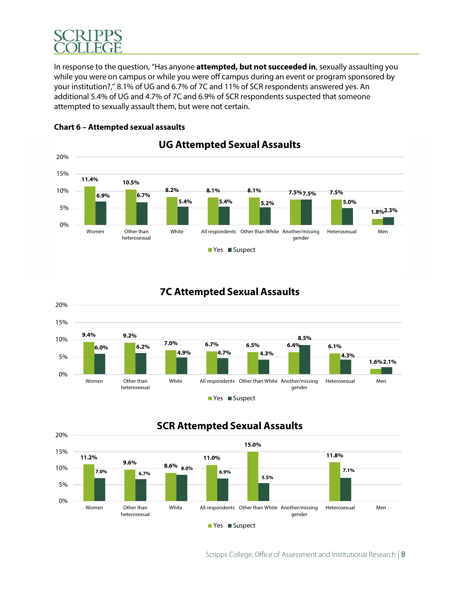

In response to the question, "Has anyone **attempted, but not succeeded in**, sexually assaulting you while you were on campus or while you were off campus during an event or program sponsored by your institution?," 8.1% of UG and 6.7% of 7C and 11% of SCR respondents answered yes. An additional 5.4% of UG and 4.7% of 7C and 6.9% of SCR respondents suspected that someone attempted to sexually assault them, but were not certain.



## **Chart 6 – Attempted sexual assaults**

## **7C Attempted Sexual Assaults**



## **SCR Attempted Sexual Assaults**

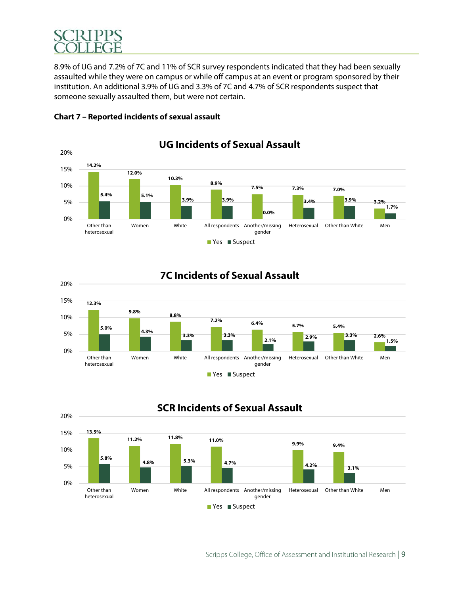8.9% of UG and 7.2% of 7C and 11% of SCR survey respondents indicated that they had been sexually assaulted while they were on campus or while off campus at an event or program sponsored by their institution. An additional 3.9% of UG and 3.3% of 7C and 4.7% of SCR respondents suspect that someone sexually assaulted them, but were not certain.



## **Chart 7 – Reported incidents of sexual assault**





■ Yes ■ Suspect

gender

# **SCR Incidents of Sexual Assault**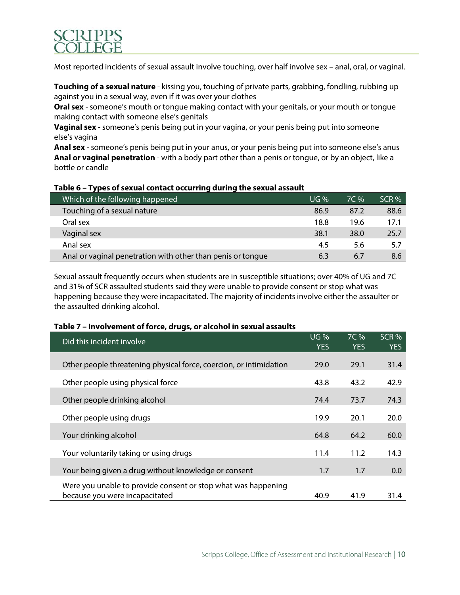

Most reported incidents of sexual assault involve touching, over half involve sex – anal, oral, or vaginal.

**Touching of a sexual nature** - kissing you, touching of private parts, grabbing, fondling, rubbing up against you in a sexual way, even if it was over your clothes

**Oral sex** - someone's mouth or tongue making contact with your genitals, or your mouth or tongue making contact with someone else's genitals

**Vaginal sex** - someone's penis being put in your vagina, or your penis being put into someone else's vagina

**Anal sex** - someone's penis being put in your anus, or your penis being put into someone else's anus **Anal or vaginal penetration** - with a body part other than a penis or tongue, or by an object, like a bottle or candle

| Which of the following happened                             | UG%  | 7C % | SCR % |
|-------------------------------------------------------------|------|------|-------|
| Touching of a sexual nature                                 | 86.9 | 87.2 | 88.6  |
| Oral sex                                                    | 18.8 | 19.6 | 17.1  |
| Vaginal sex                                                 | 38.1 | 38.0 | 25.7  |
| Anal sex                                                    | 4.5  | 5.6  | 5.7   |
| Anal or vaginal penetration with other than penis or tonque | 6.3  | 6.7  | 8.6   |

#### **Table 6 – Types of sexual contact occurring during the sexual assault**

Sexual assault frequently occurs when students are in susceptible situations; over 40% of UG and 7C and 31% of SCR assaulted students said they were unable to provide consent or stop what was happening because they were incapacitated. The majority of incidents involve either the assaulter or the assaulted drinking alcohol.

#### **Table 7 – Involvement of force, drugs, or alcohol in sexual assaults**

| Did this incident involve                                                                       | <b>UG%</b><br><b>YES</b> | 7C %<br><b>YES</b> | SCR %<br><b>YES</b> |
|-------------------------------------------------------------------------------------------------|--------------------------|--------------------|---------------------|
| Other people threatening physical force, coercion, or intimidation                              | 29.0                     | 29.1               | 31.4                |
| Other people using physical force                                                               | 43.8                     | 43.2               | 42.9                |
| Other people drinking alcohol                                                                   | 74.4                     | 73.7               | 74.3                |
| Other people using drugs                                                                        | 19.9                     | 20.1               | 20.0                |
| Your drinking alcohol                                                                           | 64.8                     | 64.2               | 60.0                |
| Your voluntarily taking or using drugs                                                          | 11.4                     | 11.2               | 14.3                |
| Your being given a drug without knowledge or consent                                            | 1.7                      | 1.7                | 0.0                 |
| Were you unable to provide consent or stop what was happening<br>because you were incapacitated | 40.9                     | 41.9               | 31.4                |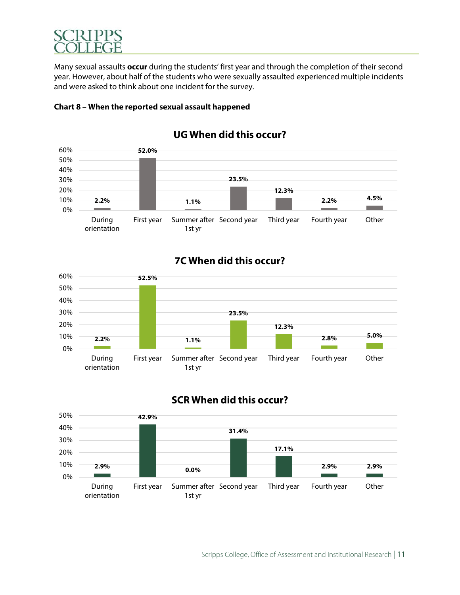

Many sexual assaults **occur** during the students' first year and through the completion of their second year. However, about half of the students who were sexually assaulted experienced multiple incidents and were asked to think about one incident for the survey.





## **UG When did this occur?**

## **7C When did this occur?**



# **SCR When did this occur?**

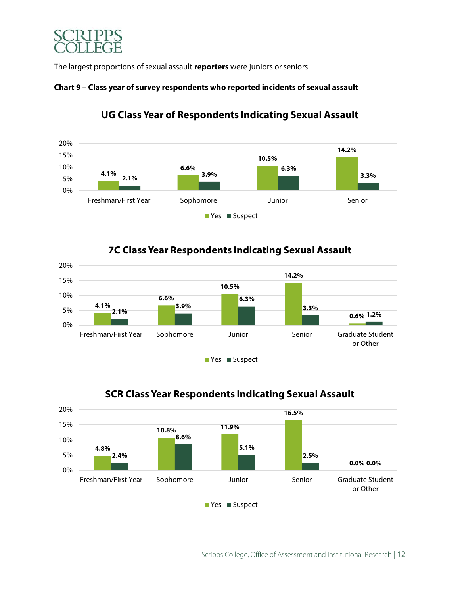

The largest proportions of sexual assault **reporters** were juniors or seniors.





## **UG Class Year of Respondents Indicating Sexual Assault**

## **7C Class Year Respondents Indicating Sexual Assault**





# **SCR Class Year Respondents Indicating Sexual Assault**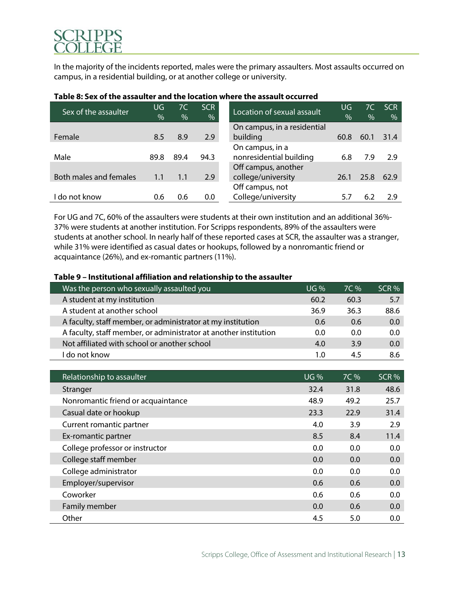In the majority of the incidents reported, males were the primary assaulters. Most assaults occurred on campus, in a residential building, or at another college or university.

| Sex of the assaulter   | UG            | 7C   | SCR  | Location of sexual assault  | UG   | 7C   | <b>SCR</b> |
|------------------------|---------------|------|------|-----------------------------|------|------|------------|
|                        | $\frac{0}{0}$ | $\%$ | %    |                             | $\%$ | $\%$ | $\%$       |
|                        |               |      |      | On campus, in a residential |      |      |            |
| Female                 | 8.5           | 8.9  | 2.9  | building                    | 60.8 | 60.1 | 31.4       |
|                        |               |      |      | On campus, in a             |      |      |            |
| Male                   | 89.8          | 89.4 | 94.3 | nonresidential building     | 6.8  | 7.9  | 2.9        |
|                        |               |      |      | Off campus, another         |      |      |            |
| Both males and females | 1.1           | 1.1  | 2.9  | college/university          | 26.1 | 25.8 | 62.9       |
|                        |               |      |      | Off campus, not             |      |      |            |
| l do not know          | 0.6           | 0.6  | 0.0  | College/university          | 5.7  | 6.2  | 2.9        |
|                        |               |      |      |                             |      |      |            |

## **Table 8: Sex of the assaulter and the location where the assault occurred**

For UG and 7C, 60% of the assaulters were students at their own institution and an additional 36%- 37% were students at another institution. For Scripps respondents, 89% of the assaulters were students at another school. In nearly half of these reported cases at SCR, the assaulter was a stranger, while 31% were identified as casual dates or hookups, followed by a nonromantic friend or acquaintance (26%), and ex-romantic partners (11%).

#### **Table 9 – Institutional affiliation and relationship to the assaulter**

| Was the person who sexually assaulted you                        | $UG$ % | $7C\%$ | SCR % |
|------------------------------------------------------------------|--------|--------|-------|
| A student at my institution                                      | 60.2   | 60.3   | 5.7   |
| A student at another school                                      | 36.9   | 36.3   | 88.6  |
| A faculty, staff member, or administrator at my institution      | 0.6    | 0.6    | 0.0   |
| A faculty, staff member, or administrator at another institution | 0.0    | 0.0    | 0.0   |
| Not affiliated with school or another school                     | 4.0    | 3.9    | 0.0   |
| l do not know                                                    | 1.0    | 45     | 8.6   |

| Relationship to assaulter          | <b>UG</b> % | 7C % | SCR % |
|------------------------------------|-------------|------|-------|
| Stranger                           | 32.4        | 31.8 | 48.6  |
| Nonromantic friend or acquaintance | 48.9        | 49.2 | 25.7  |
| Casual date or hookup              | 23.3        | 22.9 | 31.4  |
| Current romantic partner           | 4.0         | 3.9  | 2.9   |
| Ex-romantic partner                | 8.5         | 8.4  | 11.4  |
| College professor or instructor    | 0.0         | 0.0  | 0.0   |
| College staff member               | 0.0         | 0.0  | 0.0   |
| College administrator              | 0.0         | 0.0  | 0.0   |
| Employer/supervisor                | 0.6         | 0.6  | 0.0   |
| Coworker                           | 0.6         | 0.6  | 0.0   |
| Family member                      | 0.0         | 0.6  | 0.0   |
| Other                              | 4.5         | 5.0  | 0.0   |